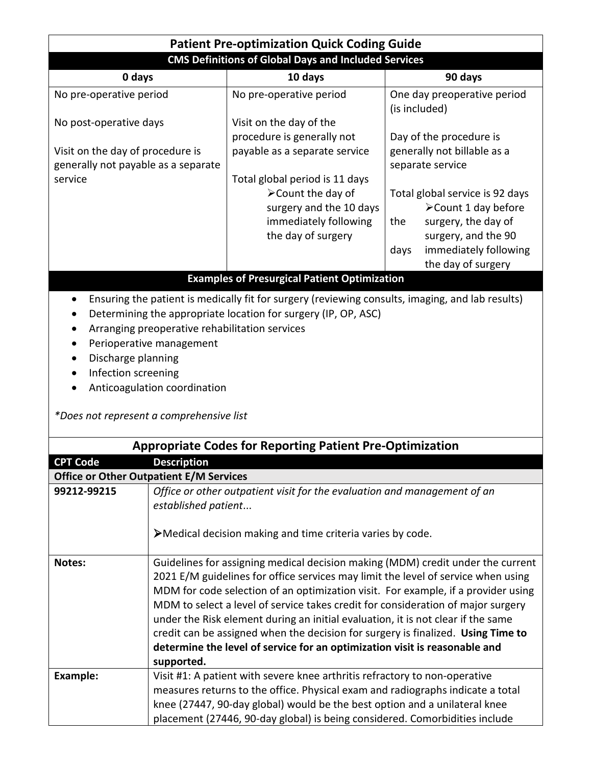| <b>Patient Pre-optimization Quick Coding Guide</b>                                                                                                                                                                   |                                                                                                                                                    |                                                                                                                                                                                    |  |  |
|----------------------------------------------------------------------------------------------------------------------------------------------------------------------------------------------------------------------|----------------------------------------------------------------------------------------------------------------------------------------------------|------------------------------------------------------------------------------------------------------------------------------------------------------------------------------------|--|--|
| <b>CMS Definitions of Global Days and Included Services</b>                                                                                                                                                          |                                                                                                                                                    |                                                                                                                                                                                    |  |  |
| 0 days                                                                                                                                                                                                               | 10 days                                                                                                                                            | 90 days                                                                                                                                                                            |  |  |
| No pre-operative period                                                                                                                                                                                              | No pre-operative period                                                                                                                            | One day preoperative period<br>(is included)                                                                                                                                       |  |  |
| No post-operative days                                                                                                                                                                                               | Visit on the day of the<br>procedure is generally not                                                                                              | Day of the procedure is                                                                                                                                                            |  |  |
| Visit on the day of procedure is<br>generally not payable as a separate                                                                                                                                              | payable as a separate service                                                                                                                      | generally not billable as a<br>separate service                                                                                                                                    |  |  |
| service                                                                                                                                                                                                              | Total global period is 11 days<br>$\blacktriangleright$ Count the day of<br>surgery and the 10 days<br>immediately following<br>the day of surgery | Total global service is 92 days<br>$\triangleright$ Count 1 day before<br>surgery, the day of<br>the<br>surgery, and the 90<br>immediately following<br>days<br>the day of surgery |  |  |
| <b>Examples of Presurgical Patient Optimization</b>                                                                                                                                                                  |                                                                                                                                                    |                                                                                                                                                                                    |  |  |
| Ensuring the patient is medically fit for surgery (reviewing consults, imaging, and lab results)<br>Determining the appropriate location for surgery (IP, OP, ASC)<br>Arranging preoperative rehabilitation services |                                                                                                                                                    |                                                                                                                                                                                    |  |  |

- Perioperative management
- Discharge planning
- Infection screening
- Anticoagulation coordination

*\*Does not represent a comprehensive list*

| <b>Appropriate Codes for Reporting Patient Pre-Optimization</b> |                                                                                                                                                                                                                                                                                                                                                                                                                                                                                                                                                                                                                   |  |
|-----------------------------------------------------------------|-------------------------------------------------------------------------------------------------------------------------------------------------------------------------------------------------------------------------------------------------------------------------------------------------------------------------------------------------------------------------------------------------------------------------------------------------------------------------------------------------------------------------------------------------------------------------------------------------------------------|--|
| <b>CPT Code</b>                                                 | <b>Description</b>                                                                                                                                                                                                                                                                                                                                                                                                                                                                                                                                                                                                |  |
| <b>Office or Other Outpatient E/M Services</b>                  |                                                                                                                                                                                                                                                                                                                                                                                                                                                                                                                                                                                                                   |  |
| 99212-99215                                                     | Office or other outpatient visit for the evaluation and management of an<br>established patient                                                                                                                                                                                                                                                                                                                                                                                                                                                                                                                   |  |
|                                                                 | >Medical decision making and time criteria varies by code.                                                                                                                                                                                                                                                                                                                                                                                                                                                                                                                                                        |  |
| Notes:                                                          | Guidelines for assigning medical decision making (MDM) credit under the current<br>2021 E/M guidelines for office services may limit the level of service when using<br>MDM for code selection of an optimization visit. For example, if a provider using<br>MDM to select a level of service takes credit for consideration of major surgery<br>under the Risk element during an initial evaluation, it is not clear if the same<br>credit can be assigned when the decision for surgery is finalized. Using Time to<br>determine the level of service for an optimization visit is reasonable and<br>supported. |  |
| Example:                                                        | Visit #1: A patient with severe knee arthritis refractory to non-operative<br>measures returns to the office. Physical exam and radiographs indicate a total<br>knee (27447, 90-day global) would be the best option and a unilateral knee<br>placement (27446, 90-day global) is being considered. Comorbidities include                                                                                                                                                                                                                                                                                         |  |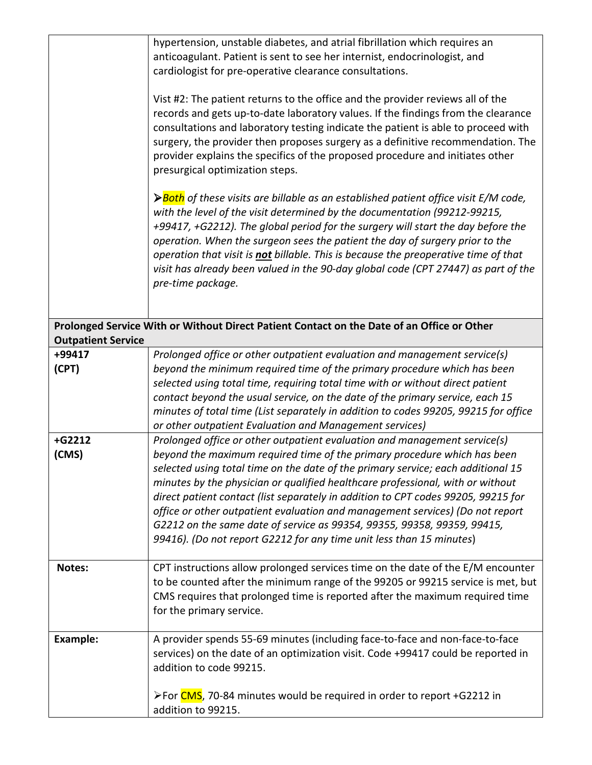|                           | hypertension, unstable diabetes, and atrial fibrillation which requires an<br>anticoagulant. Patient is sent to see her internist, endocrinologist, and<br>cardiologist for pre-operative clearance consultations.<br>Vist #2: The patient returns to the office and the provider reviews all of the<br>records and gets up-to-date laboratory values. If the findings from the clearance<br>consultations and laboratory testing indicate the patient is able to proceed with<br>surgery, the provider then proposes surgery as a definitive recommendation. The<br>provider explains the specifics of the proposed procedure and initiates other<br>presurgical optimization steps.<br>$\triangleright$ Both of these visits are billable as an established patient office visit E/M code,<br>with the level of the visit determined by the documentation (99212-99215,<br>+99417, +G2212). The global period for the surgery will start the day before the<br>operation. When the surgeon sees the patient the day of surgery prior to the<br>operation that visit is not billable. This is because the preoperative time of that<br>visit has already been valued in the 90-day global code (CPT 27447) as part of the<br>pre-time package. |
|---------------------------|-------------------------------------------------------------------------------------------------------------------------------------------------------------------------------------------------------------------------------------------------------------------------------------------------------------------------------------------------------------------------------------------------------------------------------------------------------------------------------------------------------------------------------------------------------------------------------------------------------------------------------------------------------------------------------------------------------------------------------------------------------------------------------------------------------------------------------------------------------------------------------------------------------------------------------------------------------------------------------------------------------------------------------------------------------------------------------------------------------------------------------------------------------------------------------------------------------------------------------------------------|
|                           | Prolonged Service With or Without Direct Patient Contact on the Date of an Office or Other                                                                                                                                                                                                                                                                                                                                                                                                                                                                                                                                                                                                                                                                                                                                                                                                                                                                                                                                                                                                                                                                                                                                                      |
| <b>Outpatient Service</b> |                                                                                                                                                                                                                                                                                                                                                                                                                                                                                                                                                                                                                                                                                                                                                                                                                                                                                                                                                                                                                                                                                                                                                                                                                                                 |
| +99417<br>(CPT)           | Prolonged office or other outpatient evaluation and management service(s)<br>beyond the minimum required time of the primary procedure which has been<br>selected using total time, requiring total time with or without direct patient<br>contact beyond the usual service, on the date of the primary service, each 15<br>minutes of total time (List separately in addition to codes 99205, 99215 for office<br>or other outpatient Evaluation and Management services)                                                                                                                                                                                                                                                                                                                                                                                                                                                                                                                                                                                                                                                                                                                                                                      |
| +G2212<br>(CMS)           | Prolonged office or other outpatient evaluation and management service(s)<br>beyond the maximum required time of the primary procedure which has been<br>selected using total time on the date of the primary service; each additional 15<br>minutes by the physician or qualified healthcare professional, with or without<br>direct patient contact (list separately in addition to CPT codes 99205, 99215 for<br>office or other outpatient evaluation and management services) (Do not report<br>G2212 on the same date of service as 99354, 99355, 99358, 99359, 99415,<br>99416). (Do not report G2212 for any time unit less than 15 minutes)                                                                                                                                                                                                                                                                                                                                                                                                                                                                                                                                                                                            |
| Notes:                    | CPT instructions allow prolonged services time on the date of the E/M encounter<br>to be counted after the minimum range of the 99205 or 99215 service is met, but<br>CMS requires that prolonged time is reported after the maximum required time<br>for the primary service.                                                                                                                                                                                                                                                                                                                                                                                                                                                                                                                                                                                                                                                                                                                                                                                                                                                                                                                                                                  |
| <b>Example:</b>           | A provider spends 55-69 minutes (including face-to-face and non-face-to-face<br>services) on the date of an optimization visit. Code +99417 could be reported in<br>addition to code 99215.<br>≻For CMS, 70-84 minutes would be required in order to report +G2212 in<br>addition to 99215.                                                                                                                                                                                                                                                                                                                                                                                                                                                                                                                                                                                                                                                                                                                                                                                                                                                                                                                                                     |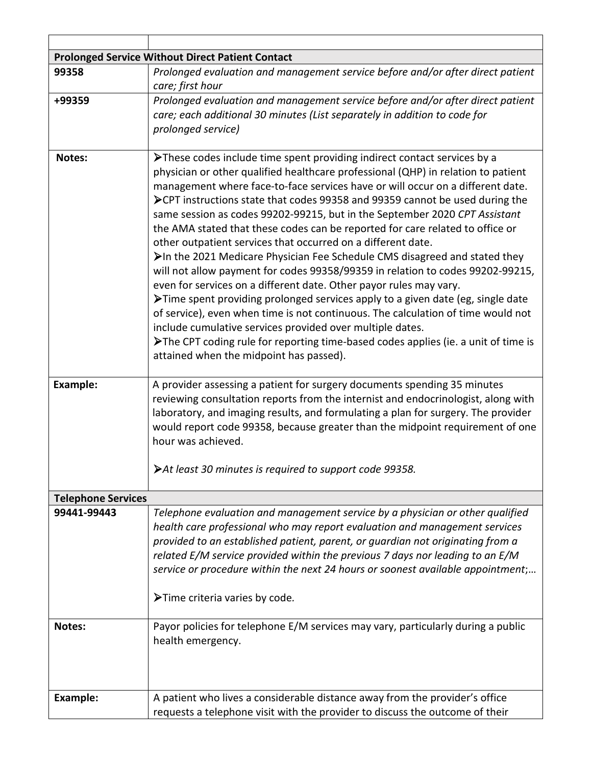| <b>Prolonged Service Without Direct Patient Contact</b> |                                                                                                                                                                                                                                                                                                                                                                                                                                                                                                                                                                                                                                                                                                                                                                                                                                                                                                                                                                                                                                                                                                                                                                            |  |  |
|---------------------------------------------------------|----------------------------------------------------------------------------------------------------------------------------------------------------------------------------------------------------------------------------------------------------------------------------------------------------------------------------------------------------------------------------------------------------------------------------------------------------------------------------------------------------------------------------------------------------------------------------------------------------------------------------------------------------------------------------------------------------------------------------------------------------------------------------------------------------------------------------------------------------------------------------------------------------------------------------------------------------------------------------------------------------------------------------------------------------------------------------------------------------------------------------------------------------------------------------|--|--|
| 99358                                                   | Prolonged evaluation and management service before and/or after direct patient<br>care; first hour                                                                                                                                                                                                                                                                                                                                                                                                                                                                                                                                                                                                                                                                                                                                                                                                                                                                                                                                                                                                                                                                         |  |  |
| +99359                                                  | Prolonged evaluation and management service before and/or after direct patient<br>care; each additional 30 minutes (List separately in addition to code for<br>prolonged service)                                                                                                                                                                                                                                                                                                                                                                                                                                                                                                                                                                                                                                                                                                                                                                                                                                                                                                                                                                                          |  |  |
| Notes:                                                  | >These codes include time spent providing indirect contact services by a<br>physician or other qualified healthcare professional (QHP) in relation to patient<br>management where face-to-face services have or will occur on a different date.<br>▶ CPT instructions state that codes 99358 and 99359 cannot be used during the<br>same session as codes 99202-99215, but in the September 2020 CPT Assistant<br>the AMA stated that these codes can be reported for care related to office or<br>other outpatient services that occurred on a different date.<br>>In the 2021 Medicare Physician Fee Schedule CMS disagreed and stated they<br>will not allow payment for codes 99358/99359 in relation to codes 99202-99215,<br>even for services on a different date. Other payor rules may vary.<br>>Time spent providing prolonged services apply to a given date (eg, single date<br>of service), even when time is not continuous. The calculation of time would not<br>include cumulative services provided over multiple dates.<br>>The CPT coding rule for reporting time-based codes applies (ie. a unit of time is<br>attained when the midpoint has passed). |  |  |
| <b>Example:</b>                                         | A provider assessing a patient for surgery documents spending 35 minutes<br>reviewing consultation reports from the internist and endocrinologist, along with<br>laboratory, and imaging results, and formulating a plan for surgery. The provider<br>would report code 99358, because greater than the midpoint requirement of one<br>hour was achieved.                                                                                                                                                                                                                                                                                                                                                                                                                                                                                                                                                                                                                                                                                                                                                                                                                  |  |  |
|                                                         | >At least 30 minutes is required to support code 99358.                                                                                                                                                                                                                                                                                                                                                                                                                                                                                                                                                                                                                                                                                                                                                                                                                                                                                                                                                                                                                                                                                                                    |  |  |
| <b>Telephone Services</b>                               |                                                                                                                                                                                                                                                                                                                                                                                                                                                                                                                                                                                                                                                                                                                                                                                                                                                                                                                                                                                                                                                                                                                                                                            |  |  |
| 99441-99443                                             | Telephone evaluation and management service by a physician or other qualified<br>health care professional who may report evaluation and management services<br>provided to an established patient, parent, or guardian not originating from a<br>related E/M service provided within the previous 7 days nor leading to an E/M<br>service or procedure within the next 24 hours or soonest available appointment;<br>>Time criteria varies by code.                                                                                                                                                                                                                                                                                                                                                                                                                                                                                                                                                                                                                                                                                                                        |  |  |
| Notes:                                                  | Payor policies for telephone E/M services may vary, particularly during a public<br>health emergency.                                                                                                                                                                                                                                                                                                                                                                                                                                                                                                                                                                                                                                                                                                                                                                                                                                                                                                                                                                                                                                                                      |  |  |
| <b>Example:</b>                                         | A patient who lives a considerable distance away from the provider's office<br>requests a telephone visit with the provider to discuss the outcome of their                                                                                                                                                                                                                                                                                                                                                                                                                                                                                                                                                                                                                                                                                                                                                                                                                                                                                                                                                                                                                |  |  |